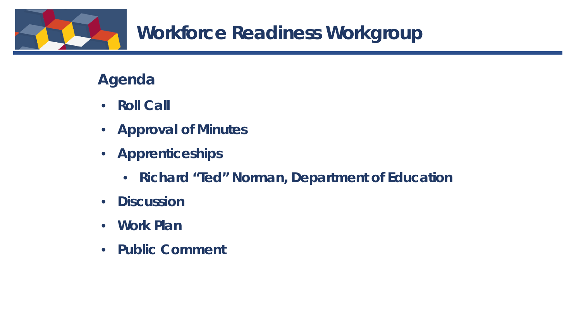

#### **Agenda**

- **Roll Call**
- **Approval of Minutes**
- **Apprenticeships** 
	- **Richard "Ted" Norman, Department of Education**
- **Discussion**
- **Work Plan**
- **Public Comment**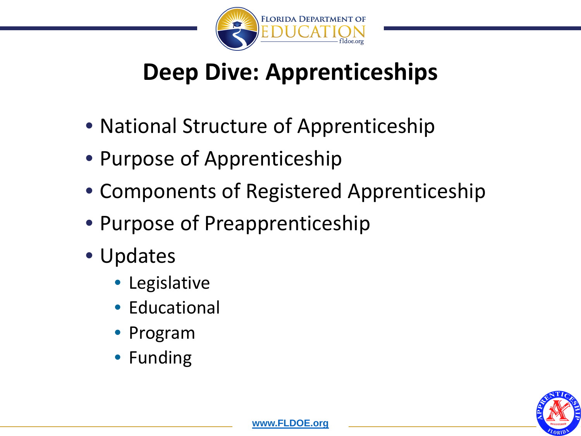

## **Deep Dive: Apprenticeships**

- National Structure of Apprenticeship
- Purpose of Apprenticeship
- Components of Registered Apprenticeship
- Purpose of Preapprenticeship
- Updates
	- Legislative
	- Educational
	- Program
	- Funding

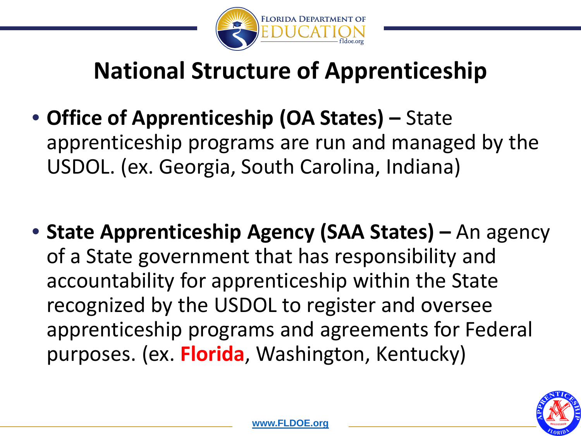

### **National Structure of Apprenticeship**

- **Office of Apprenticeship (OA States) –** State apprenticeship programs are run and managed by the USDOL. (ex. Georgia, South Carolina, Indiana)
- **State Apprenticeship Agency (SAA States) –** An agency of a State government that has responsibility and accountability for apprenticeship within the State recognized by the USDOL to register and oversee apprenticeship programs and agreements for Federal purposes. (ex. **Florida**, Washington, Kentucky)

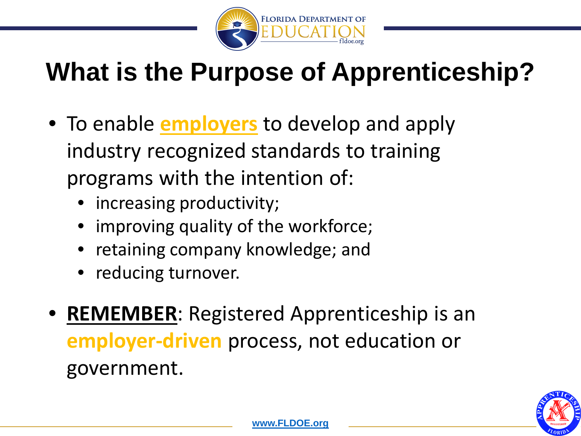

# **What is the Purpose of Apprenticeship?**

- To enable **employers** to develop and apply industry recognized standards to training programs with the intention of:
	- increasing productivity;
	- improving quality of the workforce;
	- retaining company knowledge; and
	- reducing turnover.
- **REMEMBER**: Registered Apprenticeship is an **employer-driven** process, not education or government.

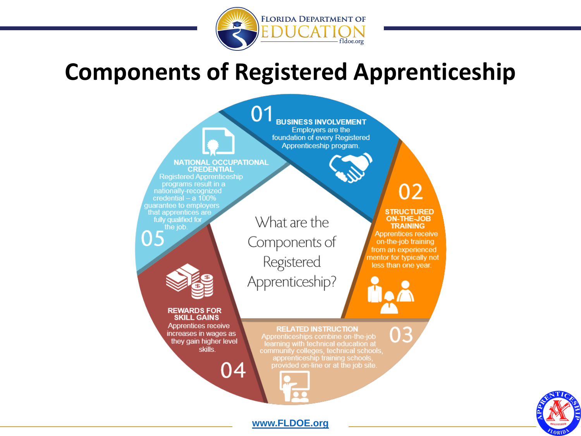

#### **Components of Registered Apprenticeship**



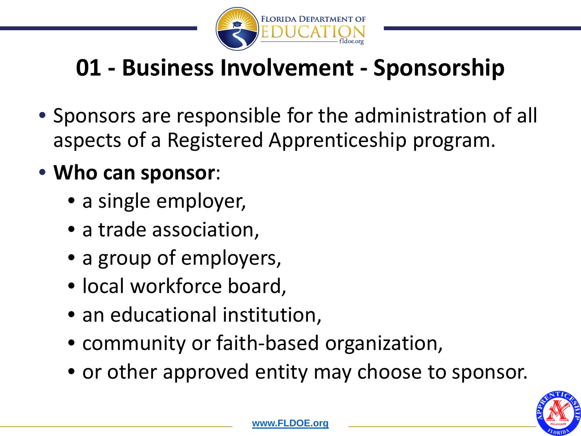

# **01 - Business Involvement - Sponsorship**

• Sponsors are responsible for the administration of all aspects of a Registered Apprenticeship program.

#### • **Who can sponsor**:

- a single employer,
- a trade association,
- a group of employers,
- local workforce board,
- an educational institution,
- community or faith-based organization,
- or other approved entity may choose to sponsor.

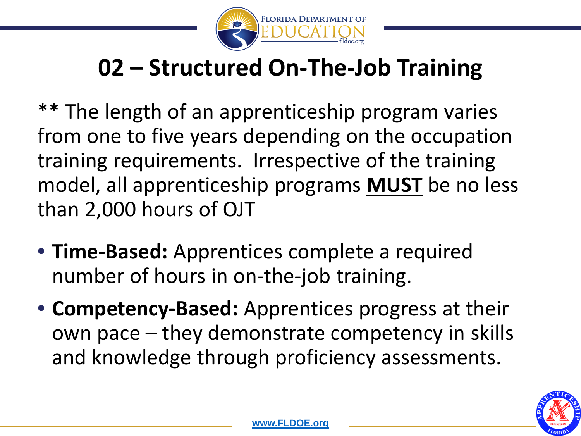

#### **02 – Structured On-The-Job Training**

\*\* The length of an apprenticeship program varies from one to five years depending on the occupation training requirements. Irrespective of the training model, all apprenticeship programs **MUST** be no less than 2,000 hours of OJT

- **Time-Based:** Apprentices complete a required number of hours in on-the-job training.
- **Competency-Based:** Apprentices progress at their own pace – they demonstrate competency in skills and knowledge through proficiency assessments.

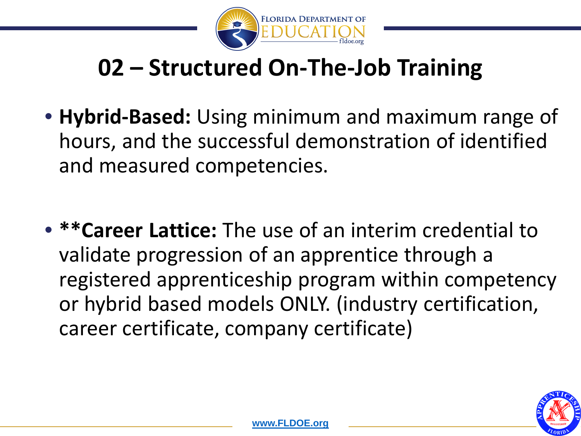

### **02 – Structured On-The-Job Training**

- **Hybrid-Based:** Using minimum and maximum range of hours, and the successful demonstration of identified and measured competencies.
- **\*\*Career Lattice:** The use of an interim credential to validate progression of an apprentice through a registered apprenticeship program within competency or hybrid based models ONLY. (industry certification, career certificate, company certificate)

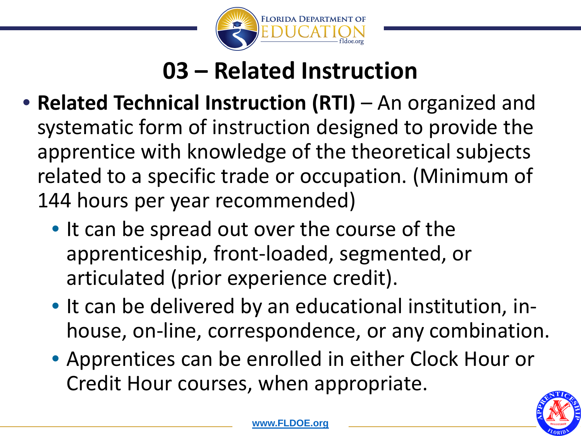

### **03 – Related Instruction**

- **Related Technical Instruction (RTI)** An organized and systematic form of instruction designed to provide the apprentice with knowledge of the theoretical subjects related to a specific trade or occupation. (Minimum of 144 hours per year recommended)
	- It can be spread out over the course of the apprenticeship, front-loaded, segmented, or articulated (prior experience credit).
	- It can be delivered by an educational institution, inhouse, on-line, correspondence, or any combination.
	- Apprentices can be enrolled in either Clock Hour or Credit Hour courses, when appropriate.

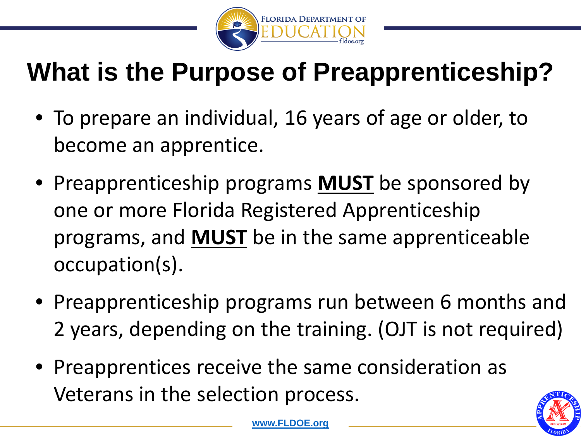

# **What is the Purpose of Preapprenticeship?**

- To prepare an individual, 16 years of age or older, to become an apprentice.
- Preapprenticeship programs **MUST** be sponsored by one or more Florida Registered Apprenticeship programs, and **MUST** be in the same apprenticeable occupation(s).
- Preapprenticeship programs run between 6 months and 2 years, depending on the training. (OJT is not required)
- Preapprentices receive the same consideration as Veterans in the selection process.

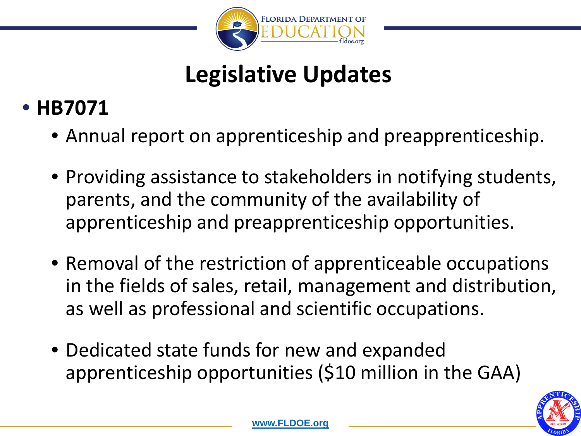

# **Legislative Updates**

#### • **HB7071**

- Annual report on apprenticeship and preapprenticeship.
- Providing assistance to stakeholders in notifying students, parents, and the community of the availability of apprenticeship and preapprenticeship opportunities.
- Removal of the restriction of apprenticeable occupations in the fields of sales, retail, management and distribution, as well as professional and scientific occupations.
- Dedicated state funds for new and expanded apprenticeship opportunities (\$10 million in the GAA)

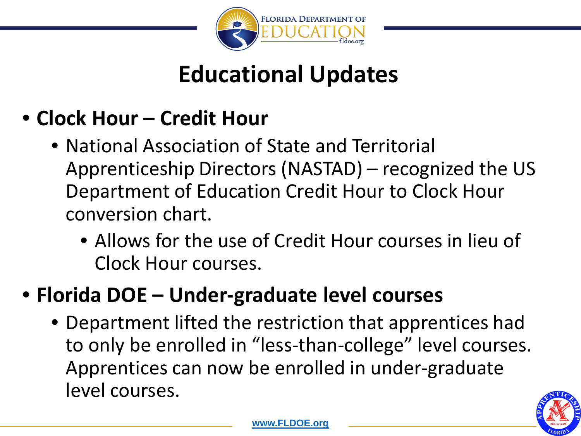

#### **Educational Updates**

- **Clock Hour – Credit Hour**
	- National Association of State and Territorial Apprenticeship Directors (NASTAD) – recognized the US Department of Education Credit Hour to Clock Hour conversion chart.
		- Allows for the use of Credit Hour courses in lieu of Clock Hour courses.

#### • **Florida DOE – Under-graduate level courses**

• Department lifted the restriction that apprentices had to only be enrolled in "less-than-college" level courses. Apprentices can now be enrolled in under-graduate level courses.

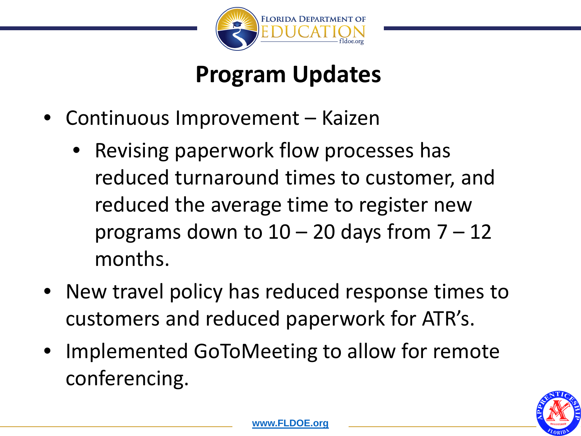

#### **Program Updates**

- Continuous Improvement Kaizen
	- Revising paperwork flow processes has reduced turnaround times to customer, and reduced the average time to register new programs down to  $10 - 20$  days from  $7 - 12$ months.
- New travel policy has reduced response times to customers and reduced paperwork for ATR's.
- Implemented GoToMeeting to allow for remote conferencing.